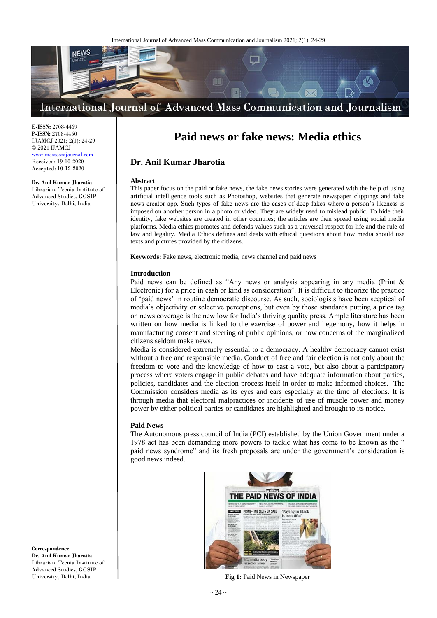

**E-ISSN:** 2708-4469 **P-ISSN:** 2708-4450 IJAMCJ 2021; 2(1): 24-29 © 2021 IJAMCJ

<www.masscomjournal.com> Received: 19-10-2020 Accepted: 10-12-2020

## **Dr. Anil Kumar Jharotia**

Librarian, Tecnia Institute of Advanced Studies, GGSIP University, Delhi, India

# **Paid news or fake news: Media ethics**

# **Dr. Anil Kumar Jharotia**

#### **Abstract**

This paper focus on the paid or fake news, the fake news stories were generated with the help of using artificial intelligence tools such as Photoshop, websites that generate newspaper clippings and fake news creator app. Such types of fake news are the cases of deep fakes where a person's likeness is imposed on another person in a photo or video. They are widely used to mislead public. To hide their identity, fake websites are created in other countries; the articles are then spread using social media platforms. Media ethics promotes and defends values such as a universal respect for life and the rule of law and legality. Media Ethics defines and deals with ethical questions about how media should use texts and pictures provided by the citizens.

**Keywords:** Fake news, electronic media, news channel and paid news

## **Introduction**

Paid news can be defined as "Any news or analysis appearing in any media (Print & Electronic) for a price in cash or kind as consideration". It is difficult to theorize the practice of 'paid news' in routine democratic discourse. As such, sociologists have been sceptical of media's objectivity or selective perceptions, but even by those standards putting a price tag on news coverage is the new low for India's thriving quality press. Ample literature has been written on how media is linked to the exercise of power and hegemony, how it helps in manufacturing consent and steering of public opinions, or how concerns of the marginalized citizens seldom make news.

Media is considered extremely essential to a democracy. A healthy democracy cannot exist without a free and responsible media. Conduct of free and fair election is not only about the freedom to vote and the knowledge of how to cast a vote, but also about a participatory process where voters engage in public debates and have adequate information about parties, policies, candidates and the election process itself in order to make informed choices. The Commission considers media as its eyes and ears especially at the time of elections. It is through media that electoral malpractices or incidents of use of muscle power and money power by either political parties or candidates are highlighted and brought to its notice.

## **Paid News**

The Autonomous press council of India (PCI) established by the Union Government under a 1978 act has been demanding more powers to tackle what has come to be known as the " paid news syndrome" and its fresh proposals are under the government's consideration is good news indeed.



**Fig 1:** Paid News in Newspaper

**Correspondence Dr. Anil Kumar Jharotia** Librarian, Tecnia Institute of Advanced Studies, GGSIP University, Delhi, India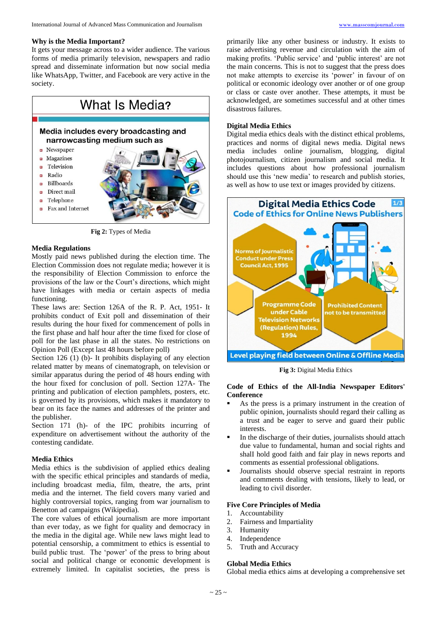#### **Why is the Media Important?**

It gets your message across to a wider audience. The various forms of media primarily television, newspapers and radio spread and disseminate information but now social media like WhatsApp, Twitter, and Facebook are very active in the society.



**Fig 2:** Types of Media

#### **Media Regulations**

Mostly paid news published during the election time. The Election Commission does not regulate media; however it is the responsibility of Election Commission to enforce the provisions of the law or the Court's directions, which might have linkages with media or certain aspects of media functioning.

These laws are: Section 126A of the R. P. Act, 1951- It prohibits conduct of Exit poll and dissemination of their results during the hour fixed for commencement of polls in the first phase and half hour after the time fixed for close of poll for the last phase in all the states. No restrictions on Opinion Poll (Except last 48 hours before poll)

Section 126 (1) (b)- It prohibits displaying of any election related matter by means of cinematograph, on television or similar apparatus during the period of 48 hours ending with the hour fixed for conclusion of poll. Section 127A- The printing and publication of election pamphlets, posters, etc. is governed by its provisions, which makes it mandatory to bear on its face the names and addresses of the printer and the publisher.

Section 171 (h)- of the IPC prohibits incurring of expenditure on advertisement without the authority of the contesting candidate.

## **Media Ethics**

Media ethics is the subdivision of applied ethics dealing with the specific ethical principles and standards of media, including broadcast media, film, theatre, the arts, print media and the internet. The field covers many varied and highly controversial topics, ranging from war journalism to Benetton ad campaigns (Wikipedia).

The core values of ethical journalism are more important than ever today, as we fight for quality and democracy in the media in the digital age. While new laws might lead to potential censorship, a commitment to ethics is essential to build public trust. The 'power' of the press to bring about social and political change or economic development is extremely limited. In capitalist societies, the press is

primarily like any other business or industry. It exists to raise advertising revenue and circulation with the aim of making profits. 'Public service' and 'public interest' are not the main concerns. This is not to suggest that the press does not make attempts to exercise its 'power' in favour of on political or economic ideology over another or of one group or class or caste over another. These attempts, it must be acknowledged, are sometimes successful and at other times disastrous failures.

## **Digital Media Ethics**

Digital media ethics deals with the distinct ethical problems, practices and norms of digital news media. Digital news media includes online journalism, blogging, digital photojournalism, citizen journalism and social media. It includes questions about how professional journalism should use this 'new media' to research and publish stories, as well as how to use text or images provided by citizens.



**Fig 3:** Digital Media Ethics

## **Code of Ethics of the All-India Newspaper Editors' Conference**

- As the press is a primary instrument in the creation of public opinion, journalists should regard their calling as a trust and be eager to serve and guard their public interests.
- In the discharge of their duties, journalists should attach due value to fundamental, human and social rights and shalI hold good faith and fair play in news reports and comments as essential professional obligations.
- Journalists should observe special restraint in reports and comments dealing with tensions, likely to lead, or leading to civil disorder.

## **Five Core Principles of Media**

- 1. Accountability
- 2. Fairness and Impartiality
- 3. Humanity
- 4. Independence
- 5. Truth and Accuracy

#### **Global Media Ethics**

Global media ethics aims at developing a comprehensive set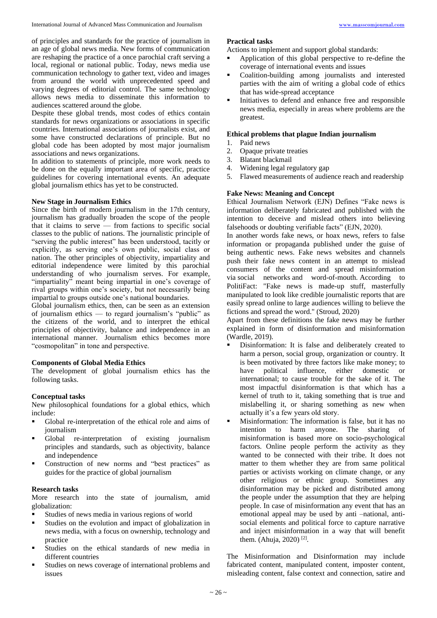of principles and standards for the practice of journalism in an age of global news media. New forms of communication are reshaping the practice of a once parochial craft serving a local, regional or national public. Today, news media use communication technology to gather text, video and images from around the world with unprecedented speed and varying degrees of editorial control. The same technology allows news media to disseminate this information to audiences scattered around the globe.

Despite these global trends, most codes of ethics contain standards for news organizations or associations in specific countries. International associations of journalists exist, and some have constructed declarations of principle. But no global code has been adopted by most major journalism associations and news organizations.

In addition to statements of principle, more work needs to be done on the equally important area of specific, practice guidelines for covering international events. An adequate global journalism ethics has yet to be constructed.

# **New Stage in Journalism Ethics**

Since the birth of modern journalism in the 17th century, journalism has gradually broaden the scope of the people that it claims to serve — from factions to specific social classes to the public of nations. The journalistic principle of "serving the public interest" has been understood, tacitly or explicitly, as serving one's own public, social class or nation. The other principles of objectivity, impartiality and editorial independence were limited by this parochial understanding of who journalism serves. For example, "impartiality" meant being impartial in one's coverage of rival groups within one's society, but not necessarily being impartial to groups outside one's national boundaries.

Global journalism ethics, then, can be seen as an extension of journalism ethics — to regard journalism's "public" as the citizens of the world, and to interpret the ethical principles of objectivity, balance and independence in an international manner. Journalism ethics becomes more "cosmopolitan" in tone and perspective.

# **Components of Global Media Ethics**

The development of global journalism ethics has the following tasks.

# **Conceptual tasks**

New philosophical foundations for a global ethics, which include:

- Global re-interpretation of the ethical role and aims of journalism
- Global re-interpretation of existing journalism principles and standards, such as objectivity, balance and independence
- **Construction of new norms and "best practices" as** guides for the practice of global journalism

# **Research tasks**

More research into the state of journalism, amid globalization:

- Studies of news media in various regions of world
- Studies on the evolution and impact of globalization in news media, with a focus on ownership, technology and practice
- Studies on the ethical standards of new media in different countries
- Studies on news coverage of international problems and issues

# **Practical tasks**

Actions to implement and support global standards:

- Application of this global perspective to re-define the coverage of international events and issues
- Coalition-building among journalists and interested parties with the aim of writing a global code of ethics that has wide-spread acceptance
- Initiatives to defend and enhance free and responsible news media, especially in areas where problems are the greatest.

## **Ethical problems that plague Indian journalism**

- 1. Paid news
- 2. Opaque private treaties
- 3. Blatant blackmail
- 4. Widening legal regulatory gap
- 5. Flawed measurements of audience reach and readership

# **Fake News: Meaning and Concept**

Ethical Journalism Network (EJN) Defines "Fake news is information deliberately fabricated and published with the intention to deceive and mislead others into believing falsehoods or doubting verifiable facts" (EJN, 2020).

In another words fake news, or hoax news, refers to false information or propaganda published under the guise of being authentic news. Fake news websites and channels push their fake news content in an attempt to mislead consumers of the content and spread misinformation via social networks and word-of-mouth. According to PolitiFact: "Fake news is made-up stuff, masterfully manipulated to look like credible journalistic reports that are easily spread online to large audiences willing to believe the fictions and spread the word." (Stroud, 2020)

Apart from these definitions the fake news may be further explained in form of disinformation and misinformation (Wardle, 2019).

- Disinformation: It is false and deliberately created to harm a person, social group, organization or country. It is been motivated by three factors like make money; to have political influence, either domestic or international; to cause trouble for the sake of it. The most impactful disinformation is that which has a kernel of truth to it, taking something that is true and mislabelling it, or sharing something as new when actually it's a few years old story.
- Misinformation: The information is false, but it has no intention to harm anyone. The sharing of misinformation is based more on socio-psychological factors. Online people perform the activity as they wanted to be connected with their tribe. It does not matter to them whether they are from same political parties or activists working on climate change, or any other religious or ethnic group. Sometimes any disinformation may be picked and distributed among the people under the assumption that they are helping people. In case of misinformation any event that has an emotional appeal may be used by anti –national, antisocial elements and political force to capture narrative and inject misinformation in a way that will benefit them. (Ahuja, 2020)<sup>[2]</sup>.

The Misinformation and Disinformation may include fabricated content, manipulated content, imposter content, misleading content, false context and connection, satire and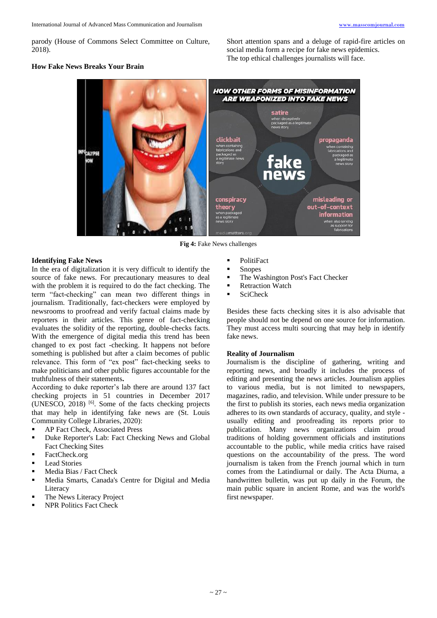parody (House of Commons Select Committee on Culture, 2018).

Short attention spans and a deluge of rapid-fire articles on social media form a recipe for fake news epidemics. The top ethical challenges journalists will face.

#### **How Fake News Breaks Your Brain**



**Fig 4:** Fake News challenges

## **Identifying Fake News**

In the era of digitalization it is very difficult to identify the source of fake news. For precautionary measures to deal with the problem it is required to do the fact checking. The term "fact-checking" can mean two different things in journalism. Traditionally, fact-checkers were employed by newsrooms to proofread and verify factual claims made by reporters in their articles. This genre of fact-checking evaluates the solidity of the reporting, double-checks facts. With the emergence of digital media this trend has been changed to ex post fact -checking. It happens not before something is published but after a claim becomes of public relevance. This form of "ex post" fact-checking seeks to make politicians and other public figures accountable for the truthfulness of their statements**.** 

According to duke reporter's lab there are around 137 fact checking projects in 51 countries in December 2017 (UNESCO, 2018) [6] . Some of the facts checking projects that may help in identifying fake news are (St. Louis Community College Libraries, 2020):

- AP Fact Check, Associated Press
- Duke Reporter's Lab: Fact Checking News and Global Fact Checking Sites
- FactCheck.org
- **Lead Stories**
- **Media Bias / Fact Check**
- Media Smarts, Canada's Centre for Digital and Media Literacy
- The News Literacy Project
- NPR Politics Fact Check
- PolitiFact
- Snopes
- **The Washington Post's Fact Checker**
- Retraction Watch
- SciCheck

Besides these facts checking sites it is also advisable that people should not be depend on one source for information. They must access multi sourcing that may help in identify fake news.

#### **Reality of Journalism**

Journalism is the discipline of gathering, writing and reporting news, and broadly it includes the process of editing and presenting the news articles. Journalism applies to various media, but is not limited to newspapers, magazines, radio, and television. While under pressure to be the first to publish its stories, each news media organization adheres to its own standards of accuracy, quality, and style usually editing and proofreading its reports prior to publication. Many news organizations claim proud traditions of holding government officials and institutions accountable to the public, while media critics have raised questions on the accountability of the press. The word journalism is taken from the French journal which in turn comes from the Latindiurnal or daily. The Acta Diurna, a handwritten bulletin, was put up daily in the Forum, the main public square in ancient Rome, and was the world's first newspaper.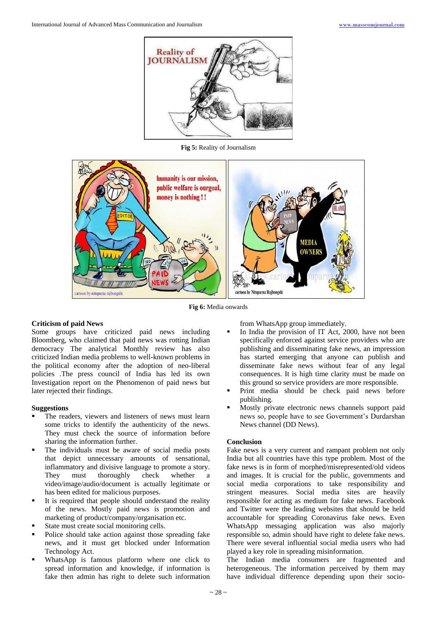

**Fig 5:** Reality of Journalism



**Fig 6:** Media onwards

## **Criticism of paid News**

Some groups have criticized paid news including Bloomberg, who claimed that paid news was rotting Indian democracy The analytical Monthly review has also criticized Indian media problems to well-known problems in the political economy after the adoption of neo-liberal policies .The press council of India has led its own Investigation report on the Phenomenon of paid news but later rejected their findings.

## **Suggestions**

- The readers, viewers and listeners of news must learn some tricks to identify the authenticity of the news. They must check the source of information before sharing the information further.
- The individuals must be aware of social media posts that depict unnecessary amounts of sensational, inflammatory and divisive language to promote a story. They must thoroughly check whether a video/image/audio/document is actually legitimate or has been edited for malicious purposes.
- It is required that people should understand the reality of the news. Mostly paid news is promotion and marketing of product/company/organisation etc.
- State must create social monitoring cells.
- Police should take action against those spreading fake news, and it must get blocked under Information Technology Act.
- WhatsApp is famous platform where one click to spread information and knowledge, if information is fake then admin has right to delete such information

from WhatsApp group immediately.

- In India the provision of IT Act, 2000, have not been specifically enforced against service providers who are publishing and disseminating fake news, an impression has started emerging that anyone can publish and disseminate fake news without fear of any legal consequences. It is high time clarity must be made on this ground so service providers are more responsible.
- Print media should be check paid news before publishing.
- Mostly private electronic news channels support paid news so, people have to see Government's Durdarshan News channel (DD News).

## **Conclusion**

Fake news is a very current and rampant problem not only India but all countries have this type problem. Most of the fake news is in form of morphed/misrepresented/old videos and images. It is crucial for the public, governments and social media corporations to take responsibility and stringent measures. Social media sites are heavily responsible for acting as medium for fake news. Facebook and Twitter were the leading websites that should be held accountable for spreading Coronavirus fake news. Even WhatsApp messaging application was also majorly responsible so, admin should have right to delete fake news. There were several influential social media users who had played a key role in spreading misinformation.

The Indian media consumers are fragmented and heterogeneous. The information perceived by them may have individual difference depending upon their socio